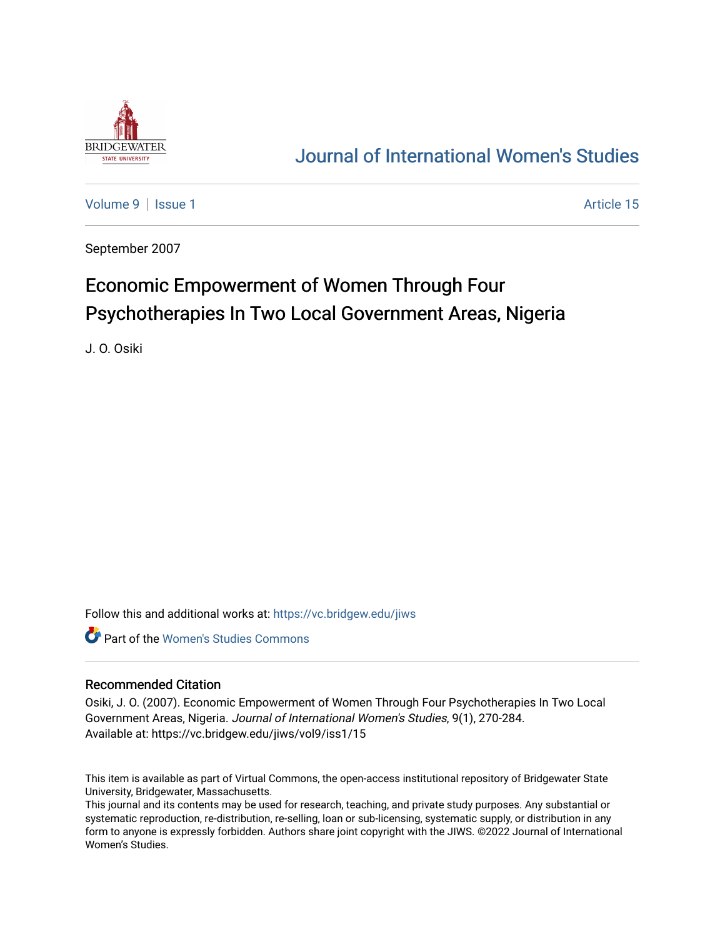

# [Journal of International Women's Studies](https://vc.bridgew.edu/jiws)

[Volume 9](https://vc.bridgew.edu/jiws/vol9) | [Issue 1](https://vc.bridgew.edu/jiws/vol9/iss1) Article 15

September 2007

# Economic Empowerment of Women Through Four Psychotherapies In Two Local Government Areas, Nigeria

J. O. Osiki

Follow this and additional works at: [https://vc.bridgew.edu/jiws](https://vc.bridgew.edu/jiws?utm_source=vc.bridgew.edu%2Fjiws%2Fvol9%2Fiss1%2F15&utm_medium=PDF&utm_campaign=PDFCoverPages)

**C** Part of the Women's Studies Commons

#### Recommended Citation

Osiki, J. O. (2007). Economic Empowerment of Women Through Four Psychotherapies In Two Local Government Areas, Nigeria. Journal of International Women's Studies, 9(1), 270-284. Available at: https://vc.bridgew.edu/jiws/vol9/iss1/15

This item is available as part of Virtual Commons, the open-access institutional repository of Bridgewater State University, Bridgewater, Massachusetts.

This journal and its contents may be used for research, teaching, and private study purposes. Any substantial or systematic reproduction, re-distribution, re-selling, loan or sub-licensing, systematic supply, or distribution in any form to anyone is expressly forbidden. Authors share joint copyright with the JIWS. ©2022 Journal of International Women's Studies.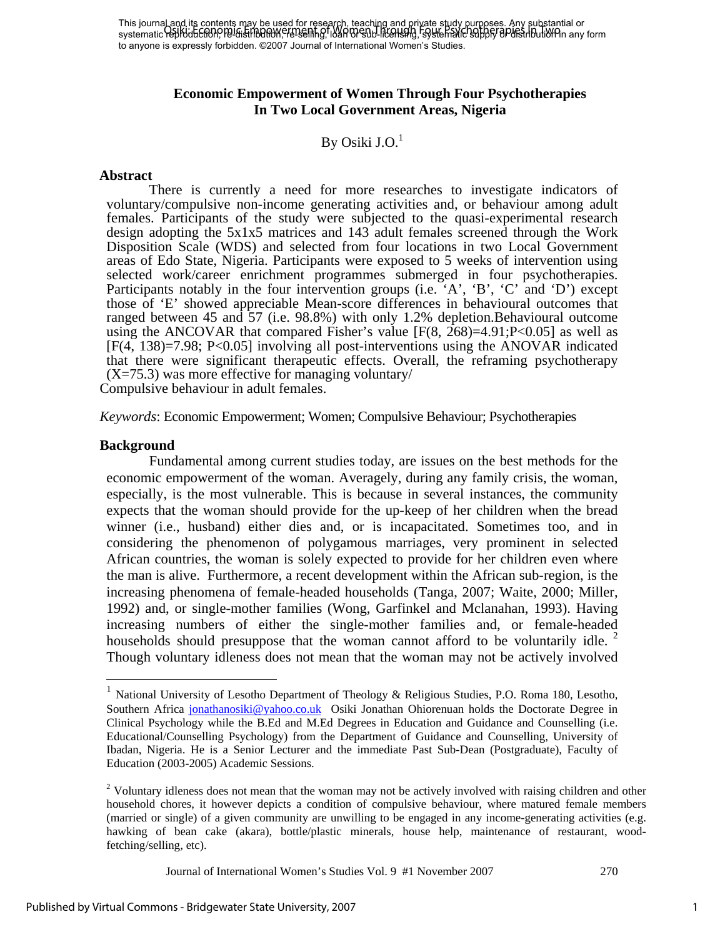### **Economic Empowerment of Women Through Four Psychotherapies In Two Local Government Areas, Nigeria**

## By Osiki J.O. $<sup>1</sup>$ </sup>

#### **Abstract**

 There is currently a need for more researches to investigate indicators of voluntary/compulsive non-income generating activities and, or behaviour among adult females. Participants of the study were subjected to the quasi-experimental research design adopting the 5x1x5 matrices and 143 adult females screened through the Work Disposition Scale (WDS) and selected from four locations in two Local Government areas of Edo State, Nigeria. Participants were exposed to 5 weeks of intervention using selected work/career enrichment programmes submerged in four psychotherapies. Participants notably in the four intervention groups (i.e. 'A', 'B', 'C' and 'D') except those of 'E' showed appreciable Mean-score differences in behavioural outcomes that ranged between 45 and 57 (i.e. 98.8%) with only 1.2% depletion.Behavioural outcome using the ANCOVAR that compared Fisher's value  $[F(8, 268)=4.91; P<0.05]$  as well as [F(4, 138)=7.98; P<0.05] involving all post-interventions using the ANOVAR indicated that there were significant therapeutic effects. Overall, the reframing psychotherapy  $(X=75.3)$  was more effective for managing voluntary/

Compulsive behaviour in adult females.

*Keywords*: Economic Empowerment; Women; Compulsive Behaviour; Psychotherapies

#### **Background**

1

Fundamental among current studies today, are issues on the best methods for the economic empowerment of the woman. Averagely, during any family crisis, the woman, especially, is the most vulnerable. This is because in several instances, the community expects that the woman should provide for the up-keep of her children when the bread winner (i.e., husband) either dies and, or is incapacitated. Sometimes too, and in considering the phenomenon of polygamous marriages, very prominent in selected African countries, the woman is solely expected to provide for her children even where the man is alive. Furthermore, a recent development within the African sub-region, is the increasing phenomena of female-headed households (Tanga, 2007; Waite, 2000; Miller, 1992) and, or single-mother families (Wong, Garfinkel and Mclanahan, 1993). Having increasing numbers of either the single-mother families and, or female-headed households should presuppose that the woman cannot afford to be voluntarily idle. Though voluntary idleness does not mean that the woman may not be actively involved

<sup>&</sup>lt;sup>1</sup> National University of Lesotho Department of Theology & Religious Studies, P.O. Roma 180, Lesotho, Southern Africa jonathanosiki@yahoo.co.uk Osiki Jonathan Ohiorenuan holds the Doctorate Degree in Clinical Psychology while the B.Ed and M.Ed Degrees in Education and Guidance and Counselling (i.e. Educational/Counselling Psychology) from the Department of Guidance and Counselling, University of Ibadan, Nigeria. He is a Senior Lecturer and the immediate Past Sub-Dean (Postgraduate), Faculty of Education (2003-2005) Academic Sessions.

 $2$  Voluntary idleness does not mean that the woman may not be actively involved with raising children and other household chores, it however depicts a condition of compulsive behaviour, where matured female members (married or single) of a given community are unwilling to be engaged in any income-generating activities (e.g. hawking of bean cake (akara), bottle/plastic minerals, house help, maintenance of restaurant, woodfetching/selling, etc).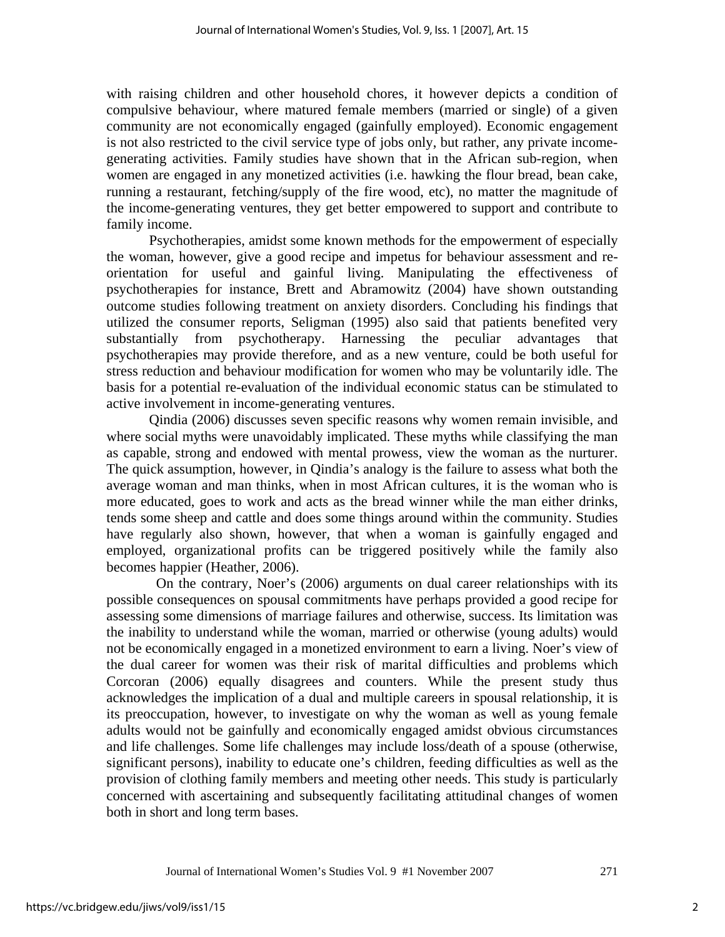with raising children and other household chores, it however depicts a condition of compulsive behaviour, where matured female members (married or single) of a given community are not economically engaged (gainfully employed). Economic engagement is not also restricted to the civil service type of jobs only, but rather, any private incomegenerating activities. Family studies have shown that in the African sub-region, when women are engaged in any monetized activities (i.e. hawking the flour bread, bean cake, running a restaurant, fetching/supply of the fire wood, etc), no matter the magnitude of the income-generating ventures, they get better empowered to support and contribute to family income.

 Psychotherapies, amidst some known methods for the empowerment of especially the woman, however, give a good recipe and impetus for behaviour assessment and reorientation for useful and gainful living. Manipulating the effectiveness of psychotherapies for instance, Brett and Abramowitz (2004) have shown outstanding outcome studies following treatment on anxiety disorders. Concluding his findings that utilized the consumer reports, Seligman (1995) also said that patients benefited very substantially from psychotherapy. Harnessing the peculiar advantages that psychotherapies may provide therefore, and as a new venture, could be both useful for stress reduction and behaviour modification for women who may be voluntarily idle. The basis for a potential re-evaluation of the individual economic status can be stimulated to active involvement in income-generating ventures.

Qindia (2006) discusses seven specific reasons why women remain invisible, and where social myths were unavoidably implicated. These myths while classifying the man as capable, strong and endowed with mental prowess, view the woman as the nurturer. The quick assumption, however, in Qindia's analogy is the failure to assess what both the average woman and man thinks, when in most African cultures, it is the woman who is more educated, goes to work and acts as the bread winner while the man either drinks, tends some sheep and cattle and does some things around within the community. Studies have regularly also shown, however, that when a woman is gainfully engaged and employed, organizational profits can be triggered positively while the family also becomes happier (Heather, 2006).

 On the contrary, Noer's (2006) arguments on dual career relationships with its possible consequences on spousal commitments have perhaps provided a good recipe for assessing some dimensions of marriage failures and otherwise, success. Its limitation was the inability to understand while the woman, married or otherwise (young adults) would not be economically engaged in a monetized environment to earn a living. Noer's view of the dual career for women was their risk of marital difficulties and problems which Corcoran (2006) equally disagrees and counters. While the present study thus acknowledges the implication of a dual and multiple careers in spousal relationship, it is its preoccupation, however, to investigate on why the woman as well as young female adults would not be gainfully and economically engaged amidst obvious circumstances and life challenges. Some life challenges may include loss/death of a spouse (otherwise, significant persons), inability to educate one's children, feeding difficulties as well as the provision of clothing family members and meeting other needs. This study is particularly concerned with ascertaining and subsequently facilitating attitudinal changes of women both in short and long term bases.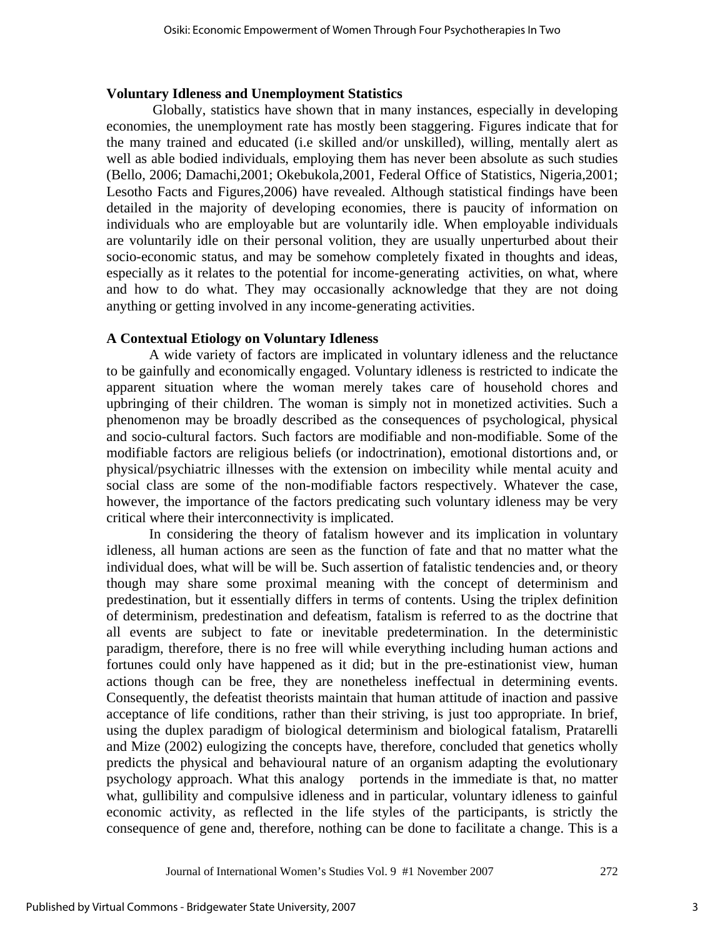## **Voluntary Idleness and Unemployment Statistics**

 Globally, statistics have shown that in many instances, especially in developing economies, the unemployment rate has mostly been staggering. Figures indicate that for the many trained and educated (i.e skilled and/or unskilled), willing, mentally alert as well as able bodied individuals, employing them has never been absolute as such studies (Bello, 2006; Damachi,2001; Okebukola,2001, Federal Office of Statistics, Nigeria,2001; Lesotho Facts and Figures,2006) have revealed. Although statistical findings have been detailed in the majority of developing economies, there is paucity of information on individuals who are employable but are voluntarily idle. When employable individuals are voluntarily idle on their personal volition, they are usually unperturbed about their socio-economic status, and may be somehow completely fixated in thoughts and ideas, especially as it relates to the potential for income-generating activities, on what, where and how to do what. They may occasionally acknowledge that they are not doing anything or getting involved in any income-generating activities.

## **A Contextual Etiology on Voluntary Idleness**

 A wide variety of factors are implicated in voluntary idleness and the reluctance to be gainfully and economically engaged. Voluntary idleness is restricted to indicate the apparent situation where the woman merely takes care of household chores and upbringing of their children. The woman is simply not in monetized activities. Such a phenomenon may be broadly described as the consequences of psychological, physical and socio-cultural factors. Such factors are modifiable and non-modifiable. Some of the modifiable factors are religious beliefs (or indoctrination), emotional distortions and, or physical/psychiatric illnesses with the extension on imbecility while mental acuity and social class are some of the non-modifiable factors respectively. Whatever the case, however, the importance of the factors predicating such voluntary idleness may be very critical where their interconnectivity is implicated.

 In considering the theory of fatalism however and its implication in voluntary idleness, all human actions are seen as the function of fate and that no matter what the individual does, what will be will be. Such assertion of fatalistic tendencies and, or theory though may share some proximal meaning with the concept of determinism and predestination, but it essentially differs in terms of contents. Using the triplex definition of determinism, predestination and defeatism, fatalism is referred to as the doctrine that all events are subject to fate or inevitable predetermination. In the deterministic paradigm, therefore, there is no free will while everything including human actions and fortunes could only have happened as it did; but in the pre-estinationist view, human actions though can be free, they are nonetheless ineffectual in determining events. Consequently, the defeatist theorists maintain that human attitude of inaction and passive acceptance of life conditions, rather than their striving, is just too appropriate. In brief, using the duplex paradigm of biological determinism and biological fatalism, Pratarelli and Mize (2002) eulogizing the concepts have, therefore, concluded that genetics wholly predicts the physical and behavioural nature of an organism adapting the evolutionary psychology approach. What this analogy portends in the immediate is that, no matter what, gullibility and compulsive idleness and in particular, voluntary idleness to gainful economic activity, as reflected in the life styles of the participants, is strictly the consequence of gene and, therefore, nothing can be done to facilitate a change. This is a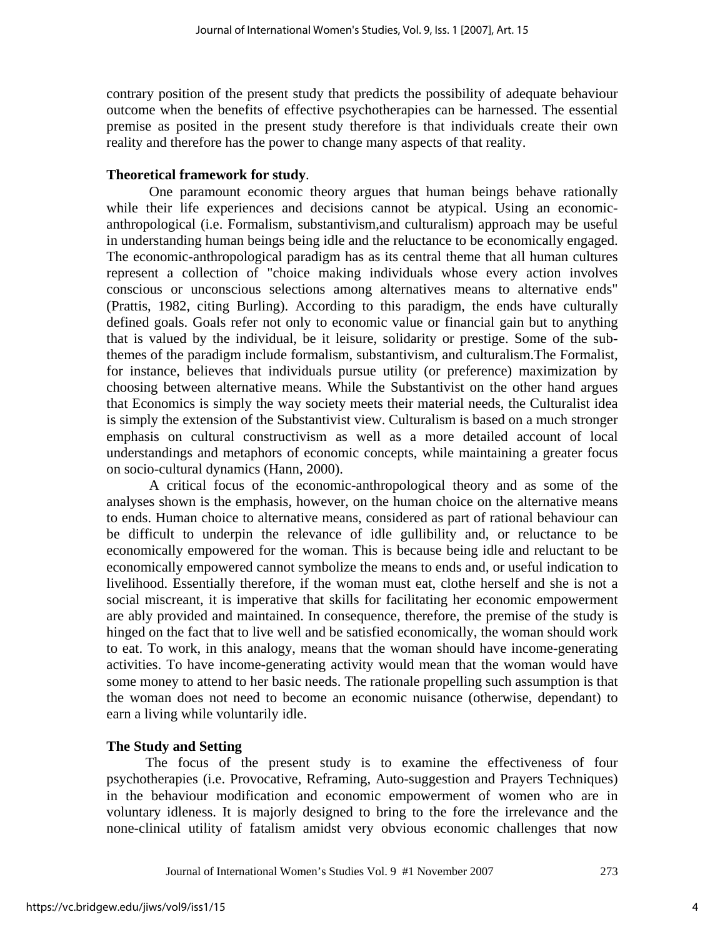contrary position of the present study that predicts the possibility of adequate behaviour outcome when the benefits of effective psychotherapies can be harnessed. The essential premise as posited in the present study therefore is that individuals create their own reality and therefore has the power to change many aspects of that reality.

#### **Theoretical framework for study**.

 One paramount economic theory argues that human beings behave rationally while their life experiences and decisions cannot be atypical. Using an economicanthropological (i.e. Formalism, substantivism,and culturalism) approach may be useful in understanding human beings being idle and the reluctance to be economically engaged. The economic-anthropological paradigm has as its central theme that all human cultures represent a collection of "choice making individuals whose every action involves conscious or unconscious selections among alternatives means to alternative ends" (Prattis, 1982, citing Burling). According to this paradigm, the ends have culturally defined goals. Goals refer not only to economic value or financial gain but to anything that is valued by the individual, be it leisure, solidarity or prestige. Some of the subthemes of the paradigm include formalism, substantivism, and culturalism.The Formalist, for instance, believes that individuals pursue utility (or preference) maximization by choosing between alternative means. While the Substantivist on the other hand argues that Economics is simply the way society meets their material needs, the Culturalist idea is simply the extension of the Substantivist view. Culturalism is based on a much stronger emphasis on cultural constructivism as well as a more detailed account of local understandings and metaphors of economic concepts, while maintaining a greater focus on socio-cultural dynamics (Hann, 2000).

 A critical focus of the economic-anthropological theory and as some of the analyses shown is the emphasis, however, on the human choice on the alternative means to ends. Human choice to alternative means, considered as part of rational behaviour can be difficult to underpin the relevance of idle gullibility and, or reluctance to be economically empowered for the woman. This is because being idle and reluctant to be economically empowered cannot symbolize the means to ends and, or useful indication to livelihood. Essentially therefore, if the woman must eat, clothe herself and she is not a social miscreant, it is imperative that skills for facilitating her economic empowerment are ably provided and maintained. In consequence, therefore, the premise of the study is hinged on the fact that to live well and be satisfied economically, the woman should work to eat. To work, in this analogy, means that the woman should have income-generating activities. To have income-generating activity would mean that the woman would have some money to attend to her basic needs. The rationale propelling such assumption is that the woman does not need to become an economic nuisance (otherwise, dependant) to earn a living while voluntarily idle.

#### **The Study and Setting**

 The focus of the present study is to examine the effectiveness of four psychotherapies (i.e. Provocative, Reframing, Auto-suggestion and Prayers Techniques) in the behaviour modification and economic empowerment of women who are in voluntary idleness. It is majorly designed to bring to the fore the irrelevance and the none-clinical utility of fatalism amidst very obvious economic challenges that now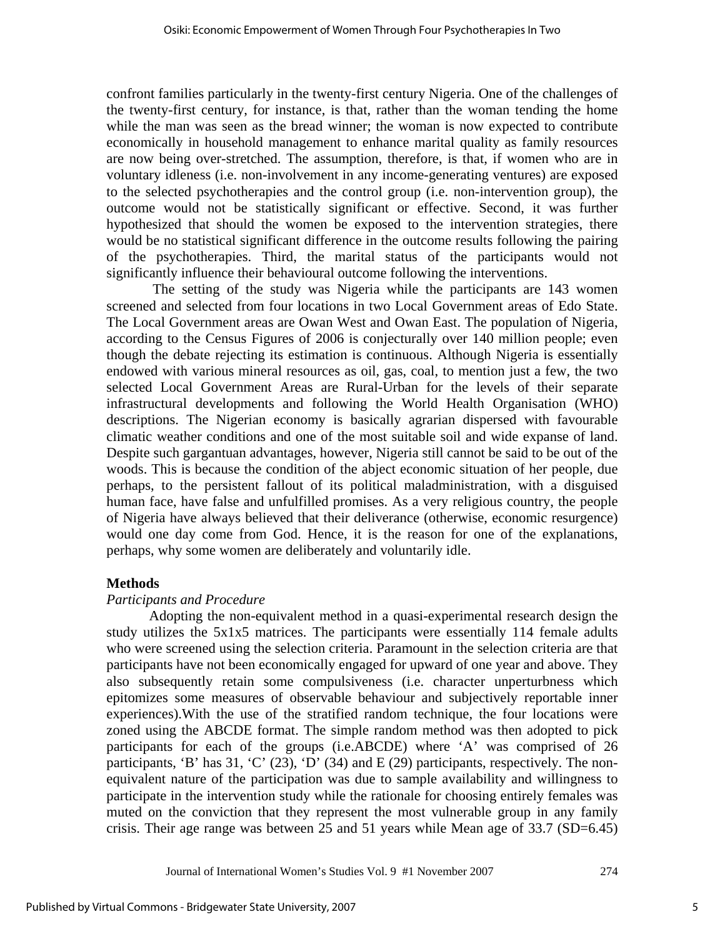confront families particularly in the twenty-first century Nigeria. One of the challenges of the twenty-first century, for instance, is that, rather than the woman tending the home while the man was seen as the bread winner; the woman is now expected to contribute economically in household management to enhance marital quality as family resources are now being over-stretched. The assumption, therefore, is that, if women who are in voluntary idleness (i.e. non-involvement in any income-generating ventures) are exposed to the selected psychotherapies and the control group (i.e. non-intervention group), the outcome would not be statistically significant or effective. Second, it was further hypothesized that should the women be exposed to the intervention strategies, there would be no statistical significant difference in the outcome results following the pairing of the psychotherapies. Third, the marital status of the participants would not significantly influence their behavioural outcome following the interventions.

 The setting of the study was Nigeria while the participants are 143 women screened and selected from four locations in two Local Government areas of Edo State. The Local Government areas are Owan West and Owan East. The population of Nigeria, according to the Census Figures of 2006 is conjecturally over 140 million people; even though the debate rejecting its estimation is continuous. Although Nigeria is essentially endowed with various mineral resources as oil, gas, coal, to mention just a few, the two selected Local Government Areas are Rural-Urban for the levels of their separate infrastructural developments and following the World Health Organisation (WHO) descriptions. The Nigerian economy is basically agrarian dispersed with favourable climatic weather conditions and one of the most suitable soil and wide expanse of land. Despite such gargantuan advantages, however, Nigeria still cannot be said to be out of the woods. This is because the condition of the abject economic situation of her people, due perhaps, to the persistent fallout of its political maladministration, with a disguised human face, have false and unfulfilled promises. As a very religious country, the people of Nigeria have always believed that their deliverance (otherwise, economic resurgence) would one day come from God. Hence, it is the reason for one of the explanations, perhaps, why some women are deliberately and voluntarily idle.

#### **Methods**

#### *Participants and Procedure*

 Adopting the non-equivalent method in a quasi-experimental research design the study utilizes the 5x1x5 matrices. The participants were essentially 114 female adults who were screened using the selection criteria. Paramount in the selection criteria are that participants have not been economically engaged for upward of one year and above. They also subsequently retain some compulsiveness (i.e. character unperturbness which epitomizes some measures of observable behaviour and subjectively reportable inner experiences).With the use of the stratified random technique, the four locations were zoned using the ABCDE format. The simple random method was then adopted to pick participants for each of the groups (i.e.ABCDE) where 'A' was comprised of 26 participants, 'B' has  $31$ , 'C' (23), 'D' (34) and E (29) participants, respectively. The nonequivalent nature of the participation was due to sample availability and willingness to participate in the intervention study while the rationale for choosing entirely females was muted on the conviction that they represent the most vulnerable group in any family crisis. Their age range was between 25 and 51 years while Mean age of 33.7 (SD=6.45)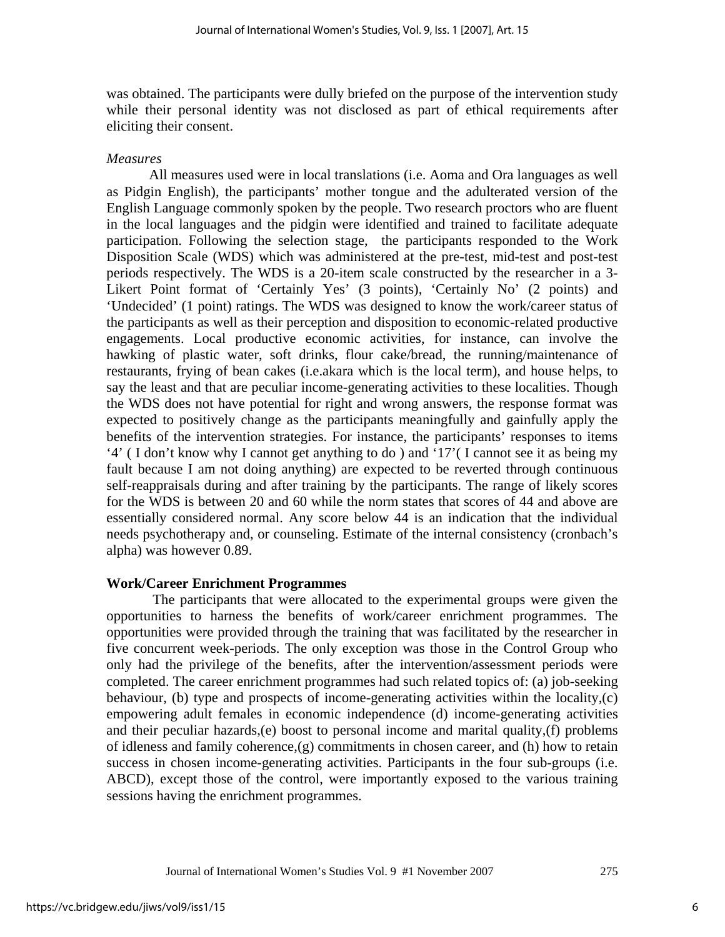was obtained. The participants were dully briefed on the purpose of the intervention study while their personal identity was not disclosed as part of ethical requirements after eliciting their consent.

#### *Measures*

 All measures used were in local translations (i.e. Aoma and Ora languages as well as Pidgin English), the participants' mother tongue and the adulterated version of the English Language commonly spoken by the people. Two research proctors who are fluent in the local languages and the pidgin were identified and trained to facilitate adequate participation. Following the selection stage, the participants responded to the Work Disposition Scale (WDS) which was administered at the pre-test, mid-test and post-test periods respectively. The WDS is a 20-item scale constructed by the researcher in a 3- Likert Point format of 'Certainly Yes' (3 points), 'Certainly No' (2 points) and 'Undecided' (1 point) ratings. The WDS was designed to know the work/career status of the participants as well as their perception and disposition to economic-related productive engagements. Local productive economic activities, for instance, can involve the hawking of plastic water, soft drinks, flour cake/bread, the running/maintenance of restaurants, frying of bean cakes (i.e.akara which is the local term), and house helps, to say the least and that are peculiar income-generating activities to these localities. Though the WDS does not have potential for right and wrong answers, the response format was expected to positively change as the participants meaningfully and gainfully apply the benefits of the intervention strategies. For instance, the participants' responses to items '4' ( I don't know why I cannot get anything to do ) and '17'( I cannot see it as being my fault because I am not doing anything) are expected to be reverted through continuous self-reappraisals during and after training by the participants. The range of likely scores for the WDS is between 20 and 60 while the norm states that scores of 44 and above are essentially considered normal. Any score below 44 is an indication that the individual needs psychotherapy and, or counseling. Estimate of the internal consistency (cronbach's alpha) was however 0.89.

#### **Work/Career Enrichment Programmes**

The participants that were allocated to the experimental groups were given the opportunities to harness the benefits of work/career enrichment programmes. The opportunities were provided through the training that was facilitated by the researcher in five concurrent week-periods. The only exception was those in the Control Group who only had the privilege of the benefits, after the intervention/assessment periods were completed. The career enrichment programmes had such related topics of: (a) job-seeking behaviour, (b) type and prospects of income-generating activities within the locality,(c) empowering adult females in economic independence (d) income-generating activities and their peculiar hazards,(e) boost to personal income and marital quality,(f) problems of idleness and family coherence,(g) commitments in chosen career, and (h) how to retain success in chosen income-generating activities. Participants in the four sub-groups (i.e. ABCD), except those of the control, were importantly exposed to the various training sessions having the enrichment programmes.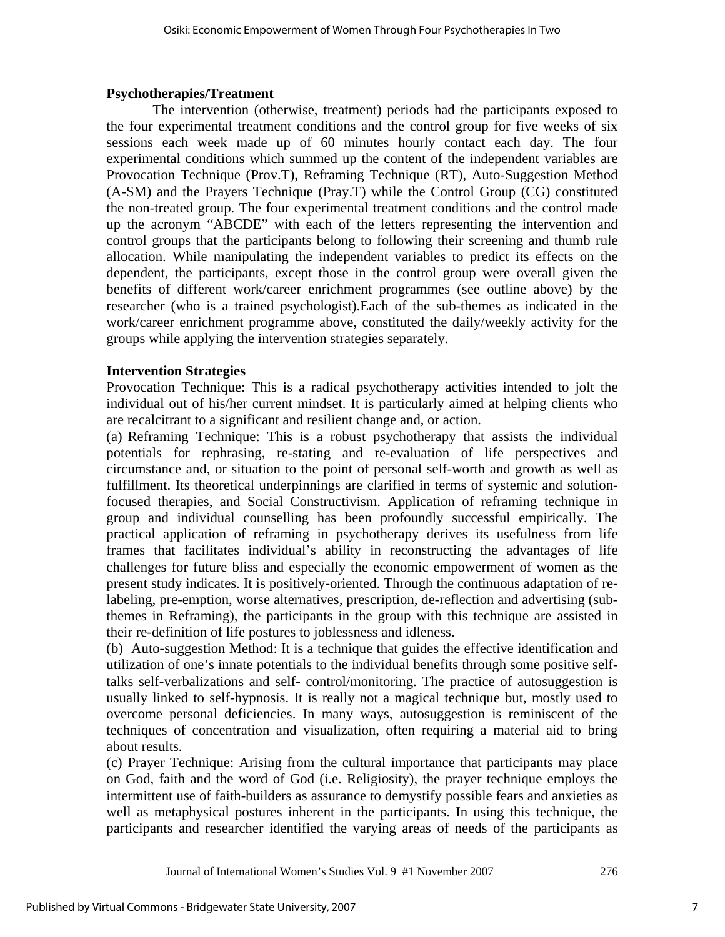## **Psychotherapies/Treatment**

The intervention (otherwise, treatment) periods had the participants exposed to the four experimental treatment conditions and the control group for five weeks of six sessions each week made up of 60 minutes hourly contact each day. The four experimental conditions which summed up the content of the independent variables are Provocation Technique (Prov.T), Reframing Technique (RT), Auto-Suggestion Method (A-SM) and the Prayers Technique (Pray.T) while the Control Group (CG) constituted the non-treated group. The four experimental treatment conditions and the control made up the acronym "ABCDE" with each of the letters representing the intervention and control groups that the participants belong to following their screening and thumb rule allocation. While manipulating the independent variables to predict its effects on the dependent, the participants, except those in the control group were overall given the benefits of different work/career enrichment programmes (see outline above) by the researcher (who is a trained psychologist).Each of the sub-themes as indicated in the work/career enrichment programme above, constituted the daily/weekly activity for the groups while applying the intervention strategies separately.

## **Intervention Strategies**

Provocation Technique: This is a radical psychotherapy activities intended to jolt the individual out of his/her current mindset. It is particularly aimed at helping clients who are recalcitrant to a significant and resilient change and, or action.

(a) Reframing Technique: This is a robust psychotherapy that assists the individual potentials for rephrasing, re-stating and re-evaluation of life perspectives and circumstance and, or situation to the point of personal self-worth and growth as well as fulfillment. Its theoretical underpinnings are clarified in terms of systemic and solutionfocused therapies, and Social Constructivism. Application of reframing technique in group and individual counselling has been profoundly successful empirically. The practical application of reframing in psychotherapy derives its usefulness from life frames that facilitates individual's ability in reconstructing the advantages of life challenges for future bliss and especially the economic empowerment of women as the present study indicates. It is positively-oriented. Through the continuous adaptation of relabeling, pre-emption, worse alternatives, prescription, de-reflection and advertising (subthemes in Reframing), the participants in the group with this technique are assisted in their re-definition of life postures to joblessness and idleness.

(b) Auto-suggestion Method: It is a technique that guides the effective identification and utilization of one's innate potentials to the individual benefits through some positive selftalks self-verbalizations and self- control/monitoring. The practice of autosuggestion is usually linked to self-hypnosis. It is really not a magical technique but, mostly used to overcome personal deficiencies. In many ways, autosuggestion is reminiscent of the techniques of concentration and visualization, often requiring a material aid to bring about results.

(c) Prayer Technique: Arising from the cultural importance that participants may place on God, faith and the word of God (i.e. Religiosity), the prayer technique employs the intermittent use of faith-builders as assurance to demystify possible fears and anxieties as well as metaphysical postures inherent in the participants. In using this technique, the participants and researcher identified the varying areas of needs of the participants as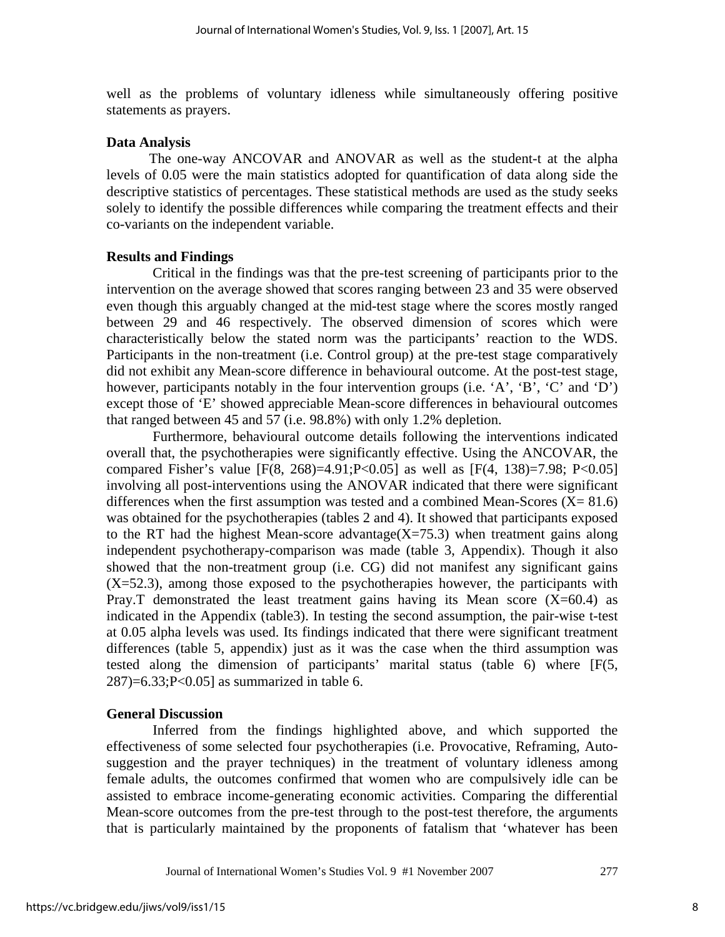well as the problems of voluntary idleness while simultaneously offering positive statements as prayers.

#### **Data Analysis**

The one-way ANCOVAR and ANOVAR as well as the student-t at the alpha levels of 0.05 were the main statistics adopted for quantification of data along side the descriptive statistics of percentages. These statistical methods are used as the study seeks solely to identify the possible differences while comparing the treatment effects and their co-variants on the independent variable.

#### **Results and Findings**

Critical in the findings was that the pre-test screening of participants prior to the intervention on the average showed that scores ranging between 23 and 35 were observed even though this arguably changed at the mid-test stage where the scores mostly ranged between 29 and 46 respectively. The observed dimension of scores which were characteristically below the stated norm was the participants' reaction to the WDS. Participants in the non-treatment (i.e. Control group) at the pre-test stage comparatively did not exhibit any Mean-score difference in behavioural outcome. At the post-test stage, however, participants notably in the four intervention groups (i.e. 'A', 'B', 'C' and 'D') except those of 'E' showed appreciable Mean-score differences in behavioural outcomes that ranged between 45 and 57 (i.e. 98.8%) with only 1.2% depletion.

 Furthermore, behavioural outcome details following the interventions indicated overall that, the psychotherapies were significantly effective. Using the ANCOVAR, the compared Fisher's value  $[F(8, 268)=4.91; P<0.05]$  as well as  $[F(4, 138)=7.98; P<0.05]$ involving all post-interventions using the ANOVAR indicated that there were significant differences when the first assumption was tested and a combined Mean-Scores  $(X = 81.6)$ was obtained for the psychotherapies (tables 2 and 4). It showed that participants exposed to the RT had the highest Mean-score advantage( $X=75.3$ ) when treatment gains along independent psychotherapy-comparison was made (table 3, Appendix). Though it also showed that the non-treatment group (i.e. CG) did not manifest any significant gains  $(X=52.3)$ , among those exposed to the psychotherapies however, the participants with Pray. T demonstrated the least treatment gains having its Mean score  $(X=60.4)$  as indicated in the Appendix (table3). In testing the second assumption, the pair-wise t-test at 0.05 alpha levels was used. Its findings indicated that there were significant treatment differences (table 5, appendix) just as it was the case when the third assumption was tested along the dimension of participants' marital status (table 6) where [F(5,  $287$ =6.33;P<0.05] as summarized in table 6.

#### **General Discussion**

Inferred from the findings highlighted above, and which supported the effectiveness of some selected four psychotherapies (i.e. Provocative, Reframing, Autosuggestion and the prayer techniques) in the treatment of voluntary idleness among female adults, the outcomes confirmed that women who are compulsively idle can be assisted to embrace income-generating economic activities. Comparing the differential Mean-score outcomes from the pre-test through to the post-test therefore, the arguments that is particularly maintained by the proponents of fatalism that 'whatever has been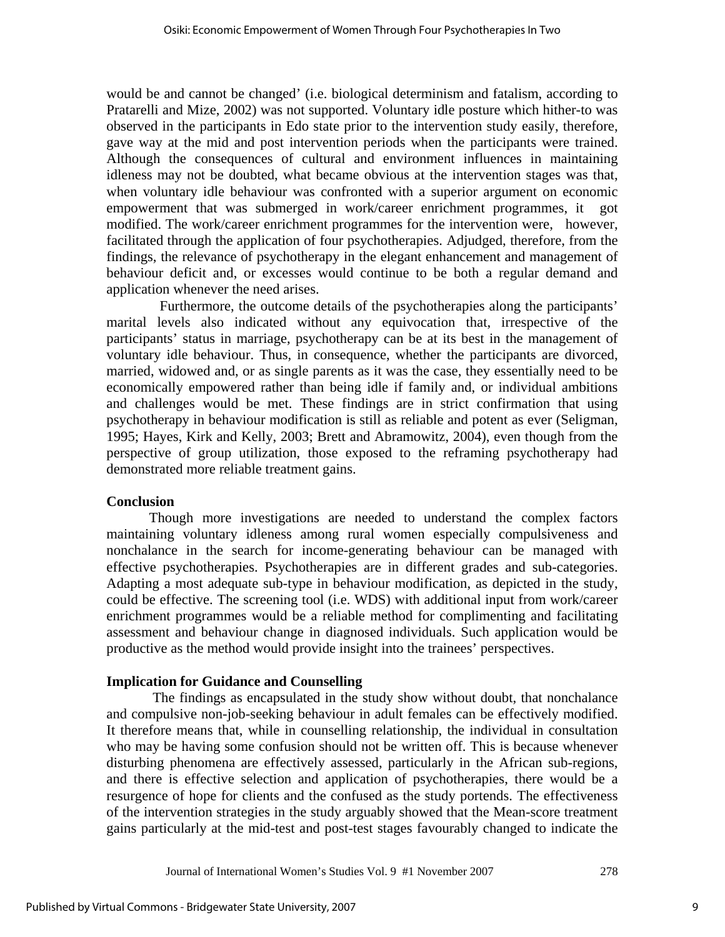would be and cannot be changed' (i.e. biological determinism and fatalism, according to Pratarelli and Mize, 2002) was not supported. Voluntary idle posture which hither-to was observed in the participants in Edo state prior to the intervention study easily, therefore, gave way at the mid and post intervention periods when the participants were trained. Although the consequences of cultural and environment influences in maintaining idleness may not be doubted, what became obvious at the intervention stages was that, when voluntary idle behaviour was confronted with a superior argument on economic empowerment that was submerged in work/career enrichment programmes, it got modified. The work/career enrichment programmes for the intervention were, however, facilitated through the application of four psychotherapies. Adjudged, therefore, from the findings, the relevance of psychotherapy in the elegant enhancement and management of behaviour deficit and, or excesses would continue to be both a regular demand and application whenever the need arises.

 Furthermore, the outcome details of the psychotherapies along the participants' marital levels also indicated without any equivocation that, irrespective of the participants' status in marriage, psychotherapy can be at its best in the management of voluntary idle behaviour. Thus, in consequence, whether the participants are divorced, married, widowed and, or as single parents as it was the case, they essentially need to be economically empowered rather than being idle if family and, or individual ambitions and challenges would be met. These findings are in strict confirmation that using psychotherapy in behaviour modification is still as reliable and potent as ever (Seligman, 1995; Hayes, Kirk and Kelly, 2003; Brett and Abramowitz, 2004), even though from the perspective of group utilization, those exposed to the reframing psychotherapy had demonstrated more reliable treatment gains.

## **Conclusion**

 Though more investigations are needed to understand the complex factors maintaining voluntary idleness among rural women especially compulsiveness and nonchalance in the search for income-generating behaviour can be managed with effective psychotherapies. Psychotherapies are in different grades and sub-categories. Adapting a most adequate sub-type in behaviour modification, as depicted in the study, could be effective. The screening tool (i.e. WDS) with additional input from work/career enrichment programmes would be a reliable method for complimenting and facilitating assessment and behaviour change in diagnosed individuals. Such application would be productive as the method would provide insight into the trainees' perspectives.

## **Implication for Guidance and Counselling**

 The findings as encapsulated in the study show without doubt, that nonchalance and compulsive non-job-seeking behaviour in adult females can be effectively modified. It therefore means that, while in counselling relationship, the individual in consultation who may be having some confusion should not be written off. This is because whenever disturbing phenomena are effectively assessed, particularly in the African sub-regions, and there is effective selection and application of psychotherapies, there would be a resurgence of hope for clients and the confused as the study portends. The effectiveness of the intervention strategies in the study arguably showed that the Mean-score treatment gains particularly at the mid-test and post-test stages favourably changed to indicate the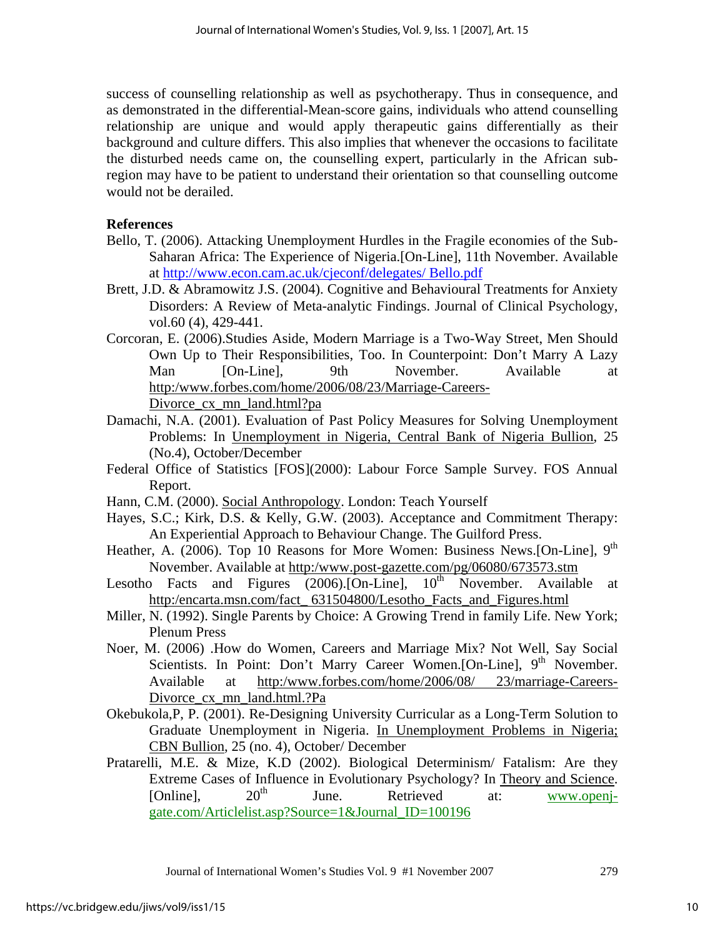success of counselling relationship as well as psychotherapy. Thus in consequence, and as demonstrated in the differential-Mean-score gains, individuals who attend counselling relationship are unique and would apply therapeutic gains differentially as their background and culture differs. This also implies that whenever the occasions to facilitate the disturbed needs came on, the counselling expert, particularly in the African subregion may have to be patient to understand their orientation so that counselling outcome would not be derailed.

## **References**

- Bello, T. (2006). Attacking Unemployment Hurdles in the Fragile economies of the Sub-Saharan Africa: The Experience of Nigeria.[On-Line], 11th November. Available at http://www.econ.cam.ac.uk/cjeconf/delegates/ Bello.pdf
- Brett, J.D. & Abramowitz J.S. (2004). Cognitive and Behavioural Treatments for Anxiety Disorders: A Review of Meta-analytic Findings. Journal of Clinical Psychology, vol.60 (4), 429-441.
- Corcoran, E. (2006).Studies Aside, Modern Marriage is a Two-Way Street, Men Should Own Up to Their Responsibilities, Too. In Counterpoint: Don't Marry A Lazy Man [On-Line], 9th November. Available at http:/www.forbes.com/home/2006/08/23/Marriage-Careers-Divorce\_cx\_mn\_land.html?pa
- Damachi, N.A. (2001). Evaluation of Past Policy Measures for Solving Unemployment Problems: In Unemployment in Nigeria, Central Bank of Nigeria Bullion, 25 (No.4), October/December
- Federal Office of Statistics [FOS](2000): Labour Force Sample Survey. FOS Annual Report.
- Hann, C.M. (2000). Social Anthropology. London: Teach Yourself
- Hayes, S.C.; Kirk, D.S. & Kelly, G.W. (2003). Acceptance and Commitment Therapy: An Experiential Approach to Behaviour Change. The Guilford Press.
- Heather, A. (2006). Top 10 Reasons for More Women: Business News.[On-Line], 9<sup>th</sup> November. Available at http:/www.post-gazette.com/pg/06080/673573.stm
- Lesotho Facts and Figures  $(2006)$ . [On-Line],  $10<sup>th</sup>$  November. Available at http:/encarta.msn.com/fact 631504800/Lesotho Facts and Figures.html
- Miller, N. (1992). Single Parents by Choice: A Growing Trend in family Life. New York; Plenum Press
- Noer, M. (2006) .How do Women, Careers and Marriage Mix? Not Well, Say Social Scientists. In Point: Don't Marry Career Women.[On-Line], 9<sup>th</sup> November. Available at http:/www.forbes.com/home/2006/08/ 23/marriage-Careers-Divorce cx\_mn\_land.html.?Pa
- Okebukola,P, P. (2001). Re-Designing University Curricular as a Long-Term Solution to Graduate Unemployment in Nigeria. In Unemployment Problems in Nigeria; CBN Bullion, 25 (no. 4), October/ December
- Pratarelli, M.E. & Mize, K.D (2002). Biological Determinism/ Fatalism: Are they Extreme Cases of Influence in Evolutionary Psychology? In Theory and Science.<br>
Conlinel. 20<sup>th</sup> June. Retrieved at: www.openi-[Online],  $20^{th}$  June. Retrieved at: www.openjgate.com/Articlelist.asp?Source=1&Journal\_ID=100196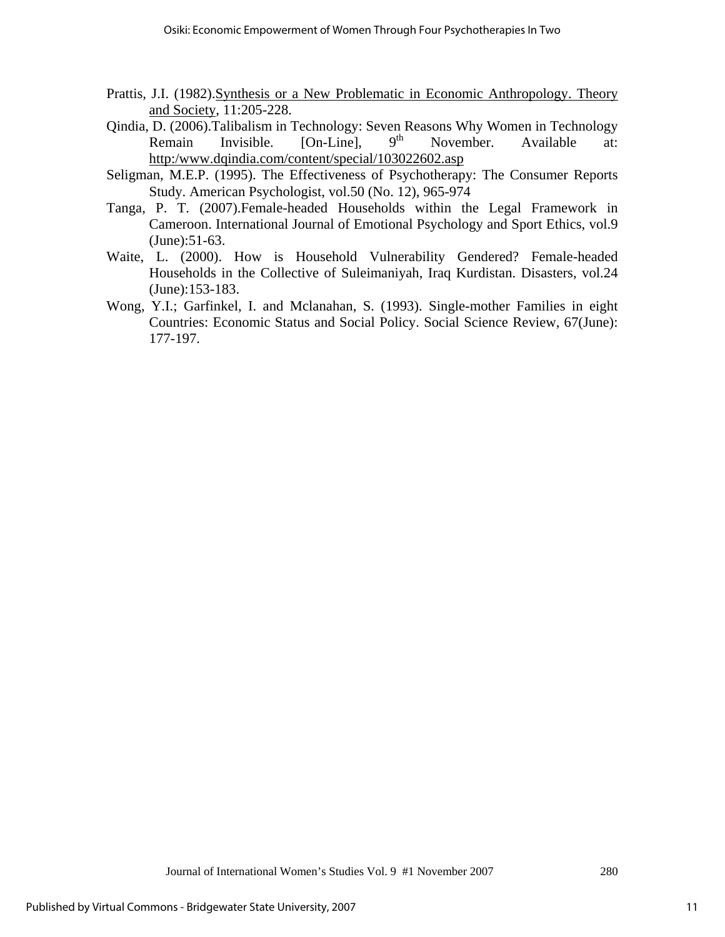- Prattis, J.I. (1982).Synthesis or a New Problematic in Economic Anthropology. Theory and Society, 11:205-228.
- Qindia, D. (2006).Talibalism in Technology: Seven Reasons Why Women in Technology Remain Invisible. [On-Line],  $9<sup>th</sup>$  November. Available at: http:/www.dqindia.com/content/special/103022602.asp
- Seligman, M.E.P. (1995). The Effectiveness of Psychotherapy: The Consumer Reports Study. American Psychologist, vol.50 (No. 12), 965-974
- Tanga, P. T. (2007).Female-headed Households within the Legal Framework in Cameroon. International Journal of Emotional Psychology and Sport Ethics, vol.9 (June):51-63.
- Waite, L. (2000). How is Household Vulnerability Gendered? Female-headed Households in the Collective of Suleimaniyah, Iraq Kurdistan. Disasters, vol.24 (June):153-183.
- Wong, Y.I.; Garfinkel, I. and Mclanahan, S. (1993). Single-mother Families in eight Countries: Economic Status and Social Policy. Social Science Review, 67(June): 177-197.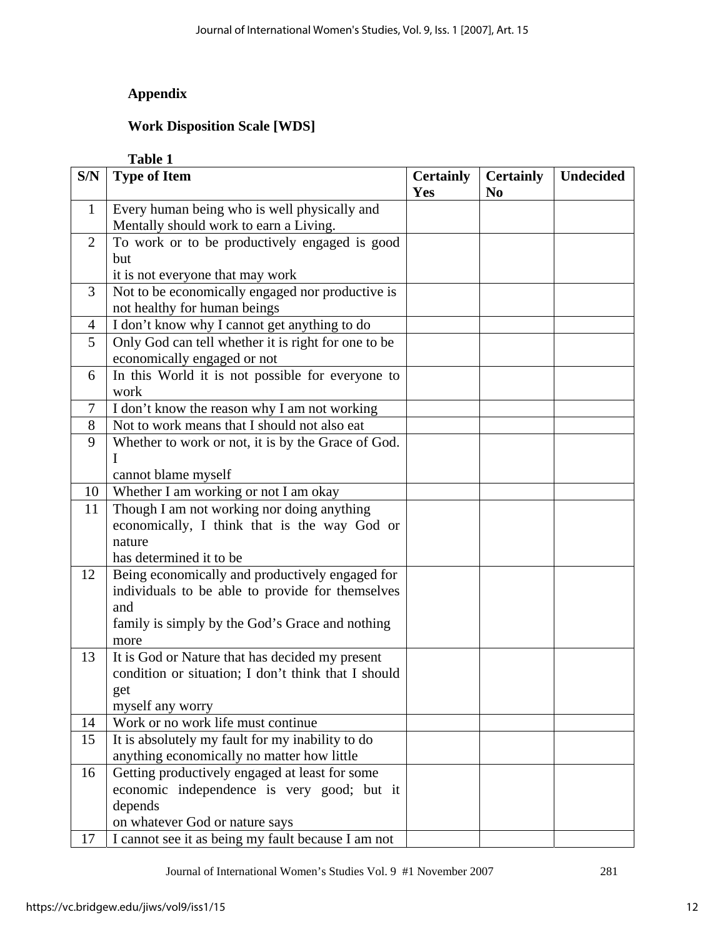## **Appendix**

## **Work Disposition Scale [WDS]**

## **Table 1**

| S/N          | <b>Type of Item</b>                                 | <b>Certainly</b><br>Yes | <b>Certainly</b><br>N <sub>0</sub> | <b>Undecided</b> |
|--------------|-----------------------------------------------------|-------------------------|------------------------------------|------------------|
| $\mathbf{1}$ | Every human being who is well physically and        |                         |                                    |                  |
|              | Mentally should work to earn a Living.              |                         |                                    |                  |
| 2            | To work or to be productively engaged is good       |                         |                                    |                  |
|              | but                                                 |                         |                                    |                  |
|              | it is not everyone that may work                    |                         |                                    |                  |
| 3            | Not to be economically engaged nor productive is    |                         |                                    |                  |
|              | not healthy for human beings                        |                         |                                    |                  |
| 4            | I don't know why I cannot get anything to do        |                         |                                    |                  |
| 5            | Only God can tell whether it is right for one to be |                         |                                    |                  |
|              | economically engaged or not                         |                         |                                    |                  |
| 6            | In this World it is not possible for everyone to    |                         |                                    |                  |
|              | work                                                |                         |                                    |                  |
| 7            | I don't know the reason why I am not working        |                         |                                    |                  |
| 8            | Not to work means that I should not also eat        |                         |                                    |                  |
| 9            | Whether to work or not, it is by the Grace of God.  |                         |                                    |                  |
|              | I                                                   |                         |                                    |                  |
|              | cannot blame myself                                 |                         |                                    |                  |
| 10           | Whether I am working or not I am okay               |                         |                                    |                  |
| 11           | Though I am not working nor doing anything          |                         |                                    |                  |
|              | economically, I think that is the way God or        |                         |                                    |                  |
|              | nature                                              |                         |                                    |                  |
|              | has determined it to be                             |                         |                                    |                  |
| 12           | Being economically and productively engaged for     |                         |                                    |                  |
|              | individuals to be able to provide for themselves    |                         |                                    |                  |
|              | and                                                 |                         |                                    |                  |
|              | family is simply by the God's Grace and nothing     |                         |                                    |                  |
|              | more                                                |                         |                                    |                  |
| 13           | It is God or Nature that has decided my present     |                         |                                    |                  |
|              | condition or situation; I don't think that I should |                         |                                    |                  |
|              | get                                                 |                         |                                    |                  |
|              | myself any worry                                    |                         |                                    |                  |
| 14           | Work or no work life must continue                  |                         |                                    |                  |
| 15           | It is absolutely my fault for my inability to do    |                         |                                    |                  |
|              | anything economically no matter how little          |                         |                                    |                  |
| 16           | Getting productively engaged at least for some      |                         |                                    |                  |
|              | economic independence is very good; but it          |                         |                                    |                  |
|              | depends                                             |                         |                                    |                  |
|              | on whatever God or nature says                      |                         |                                    |                  |
| 17           | I cannot see it as being my fault because I am not  |                         |                                    |                  |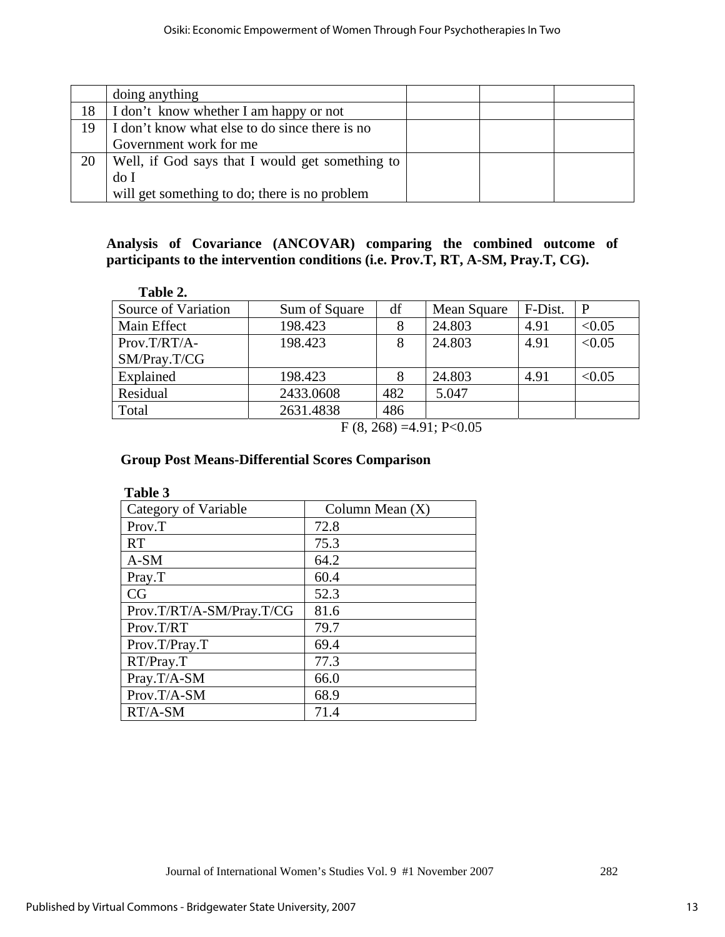|    | doing anything                                  |  |  |
|----|-------------------------------------------------|--|--|
| 18 | I don't know whether I am happy or not          |  |  |
| 19 | I don't know what else to do since there is no  |  |  |
|    | Government work for me                          |  |  |
| 20 | Well, if God says that I would get something to |  |  |
|    | do I                                            |  |  |
|    | will get something to do; there is no problem   |  |  |

## **Analysis of Covariance (ANCOVAR) comparing the combined outcome of participants to the intervention conditions (i.e. Prov.T, RT, A-SM, Pray.T, CG).**

| Table 2.            |               |     |             |         |        |
|---------------------|---------------|-----|-------------|---------|--------|
| Source of Variation | Sum of Square | df  | Mean Square | F-Dist. |        |
| Main Effect         | 198.423       |     | 24.803      | 4.91    | < 0.05 |
| $Prov.T/RT/A-$      | 198.423       | 8   | 24.803      | 4.91    | < 0.05 |
| SM/Pray.T/CG        |               |     |             |         |        |
| Explained           | 198.423       |     | 24.803      | 4.91    | < 0.05 |
| Residual            | 2433.0608     | 482 | 5.047       |         |        |
| Total               | 2631.4838     | 486 |             |         |        |
|                     |               |     | .           |         |        |

 $F(8, 268) = 4.91; P<0.05$ 

## **Group Post Means-Differential Scores Comparison**

| Table 3                  |                   |
|--------------------------|-------------------|
| Category of Variable     | Column Mean $(X)$ |
| Prov.T                   | 72.8              |
| <b>RT</b>                | 75.3              |
| $A-SM$                   | 64.2              |
| Pray.T                   | 60.4              |
| CG                       | 52.3              |
| Prov.T/RT/A-SM/Pray.T/CG | 81.6              |
| Prov.T/RT                | 79.7              |
| Prov.T/Pray.T            | 69.4              |
| RT/Pray.T                | 77.3              |
| Pray.T/A-SM              | 66.0              |
| Prov.T/A-SM              | 68.9              |
| RT/A-SM                  | 71.4              |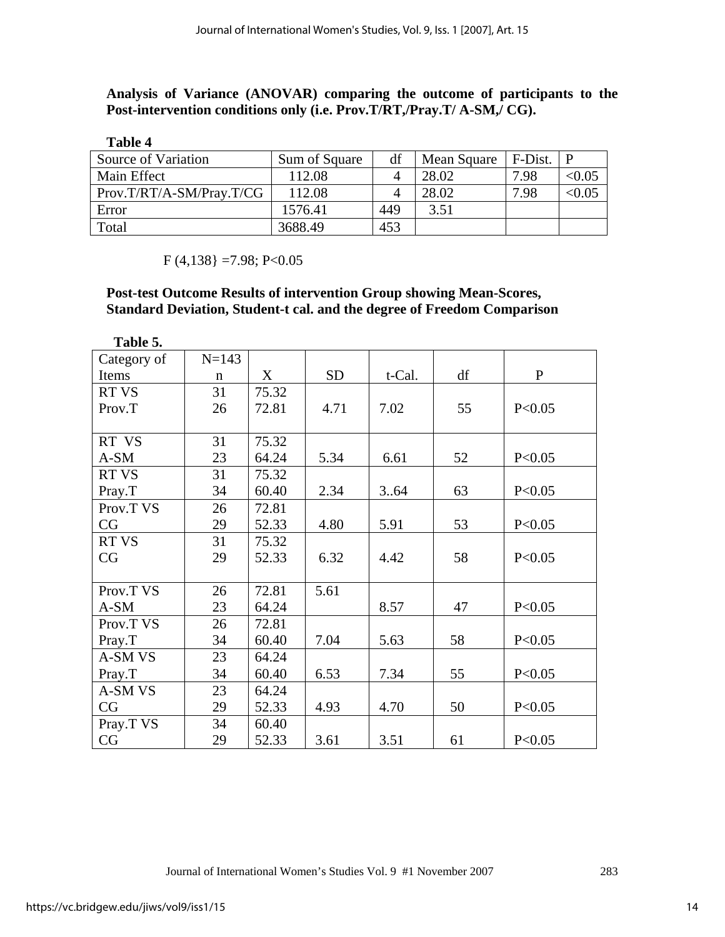**Analysis of Variance (ANOVAR) comparing the outcome of participants to the Post-intervention conditions only (i.e. Prov.T/RT,/Pray.T/ A-SM,/ CG).** 

| Table 4                  |               |     |             |         |              |
|--------------------------|---------------|-----|-------------|---------|--------------|
| Source of Variation      | Sum of Square | df  | Mean Square | F-Dist. | $\mathsf{P}$ |
| Main Effect              | 112.08        |     | 28.02       | 7.98    | < 0.05       |
| Prov.T/RT/A-SM/Pray.T/CG | 112.08        |     | 28.02       | 7.98    | < 0.05       |
| Error                    | 1576.41       | 449 | 3.51        |         |              |
| Total                    | 3688.49       | 453 |             |         |              |

 $F(4,138) = 7.98; P<0.05$ 

## **Post-test Outcome Results of intervention Group showing Mean-Scores, Standard Deviation, Student-t cal. and the degree of Freedom Comparison**

| Table 5.     |           |       |           |        |    |              |
|--------------|-----------|-------|-----------|--------|----|--------------|
| Category of  | $N = 143$ |       |           |        |    |              |
| Items        | n         | X     | <b>SD</b> | t-Cal. | df | $\mathbf{P}$ |
| <b>RT VS</b> | 31        | 75.32 |           |        |    |              |
| Prov.T       | 26        | 72.81 | 4.71      | 7.02   | 55 | P < 0.05     |
|              |           |       |           |        |    |              |
| RT VS        | 31        | 75.32 |           |        |    |              |
| A-SM         | 23        | 64.24 | 5.34      | 6.61   | 52 | P < 0.05     |
| <b>RT VS</b> | 31        | 75.32 |           |        |    |              |
| Pray.T       | 34        | 60.40 | 2.34      | 3.64   | 63 | P<0.05       |
| Prov.T VS    | 26        | 72.81 |           |        |    |              |
| CG           | 29        | 52.33 | 4.80      | 5.91   | 53 | P<0.05       |
| <b>RT VS</b> | 31        | 75.32 |           |        |    |              |
| CG           | 29        | 52.33 | 6.32      | 4.42   | 58 | P < 0.05     |
|              |           |       |           |        |    |              |
| Prov.T VS    | 26        | 72.81 | 5.61      |        |    |              |
| A-SM         | 23        | 64.24 |           | 8.57   | 47 | P < 0.05     |
| Prov.T VS    | 26        | 72.81 |           |        |    |              |
| Pray.T       | 34        | 60.40 | 7.04      | 5.63   | 58 | P < 0.05     |
| A-SM VS      | 23        | 64.24 |           |        |    |              |
| Pray.T       | 34        | 60.40 | 6.53      | 7.34   | 55 | P < 0.05     |
| A-SM VS      | 23        | 64.24 |           |        |    |              |
| CG           | 29        | 52.33 | 4.93      | 4.70   | 50 | P<0.05       |
| Pray.T VS    | 34        | 60.40 |           |        |    |              |
| CG           | 29        | 52.33 | 3.61      | 3.51   | 61 | P < 0.05     |